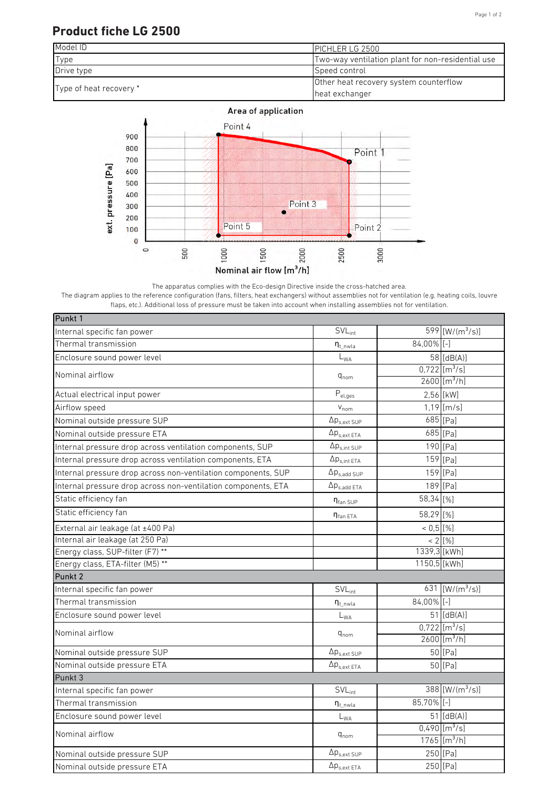## **Product fiche LG 2500**





The apparatus complies with the Eco-design Directive inside the cross-hatched area.

The diagram applies to the reference configuration (fans, filters, heat exchangers) without assemblies not for ventilation (e.g. heating coils, louvre flaps, etc.). Additional loss of pressure must be taken into account when installing assemblies not for ventilation.

| Punkt 1                                                       |                              |               |                               |
|---------------------------------------------------------------|------------------------------|---------------|-------------------------------|
| Internal specific fan power                                   | $SVL_{int}$                  |               | 599 [W/(m <sup>3</sup> /s)]   |
| Thermal transmission                                          | $\eta_{t}$ nwla              | $84,00\%$ [-] |                               |
| Enclosure sound power level                                   | $L_{WA}$                     |               | 58 [dB(A)]                    |
| Nominal airflow                                               |                              |               | $0,722$ [m <sup>3</sup> /s]   |
|                                                               | $q_{nom}$                    |               | $2600$ [m <sup>3</sup> /h]    |
| Actual electrical input power                                 | $\mathsf{P}_{\text{el,ges}}$ |               | 2,56 [kW]                     |
| Airflow speed                                                 | $V_{nom}$                    |               | $1,19$ [m/s]                  |
| Nominal outside pressure SUP                                  | $\Delta p_{s,ext SUP}$       |               | $685$ [Pa]                    |
| Nominal outside pressure ETA                                  | $\Delta p_{s,ext\ ETA}$      |               | $685$ [Pa]                    |
| Internal pressure drop across ventilation components, SUP     | $\Delta p_{s,int\,SUP}$      |               | 190 [Pa]                      |
| Internal pressure drop across ventilation components, ETA     | $\Delta p_{s,int ETA}$       |               | $159$ [Pa]                    |
| Internal pressure drop across non-ventilation components, SUP | $\Delta p_{s,add~SUP}$       |               | 159 [Pa]                      |
| Internal pressure drop across non-ventilation components, ETA | $\Delta p_{s,add ETA}$       |               | 189 [Pa]                      |
| Static efficiency fan                                         | $\eta_{\text{fan SUP}}$      | 58,34 [%]     |                               |
| Static efficiency fan                                         | $n_{fan ETA}$                | 58,29 [%]     |                               |
| External air leakage (at ±400 Pa)                             |                              | $< 0.5$ [%]   |                               |
| Internal air leakage (at 250 Pa)                              |                              |               | $< 2$ [%]                     |
| Energy class, SUP-filter (F7) **                              |                              | 1339,3 [kWh]  |                               |
| Energy class, ETA-filter (M5) **                              |                              | 1150,5 [kWh]  |                               |
| Punkt 2                                                       |                              |               |                               |
| Internal specific fan power                                   | $SVL_{int}$                  |               | 631 [W/( $m^3$ /s)]           |
| Thermal transmission                                          | $n_{t}$ nwla                 | 84,00% [-]    |                               |
| Enclosure sound power level                                   | $\mathsf{L}_{\mathsf{WA}}$   |               | $51$ [dB(A)]                  |
| Nominal airflow                                               | $q_{nom}$                    |               | $0,722$ [m <sup>3</sup> /s]   |
|                                                               |                              |               | $2600$ [m <sup>3</sup> /h]    |
| Nominal outside pressure SUP                                  | $\Delta p_{s,ext SUP}$       |               | 50 [Pa]                       |
| Nominal outside pressure ETA                                  | $\Delta p_{s,ext ETA}$       |               | 50 [Pa]                       |
| Punkt 3                                                       |                              |               |                               |
| Internal specific fan power                                   | SVL <sub>int</sub>           |               | $388$ [W/(m <sup>3</sup> /s)] |
| Thermal transmission                                          | $\eta_{t\_nwla}$             | 85,70% [-]    |                               |
| Enclosure sound power level                                   | $\mathsf{L}_{\mathsf{WA}}$   |               | 51 [dB(A)]                    |
| Nominal airflow                                               | $q_{nom}$                    |               | $0,490$ [m <sup>3</sup> /s]   |
|                                                               |                              |               | $1765$ [m <sup>3</sup> /h]    |
| Nominal outside pressure SUP                                  | $\Delta p_{s,ext SUP}$       |               | 250 [Pa]                      |
| Nominal outside pressure ETA                                  | $\Delta p_{s,ext\ ETA}$      |               | 250 [Pa]                      |